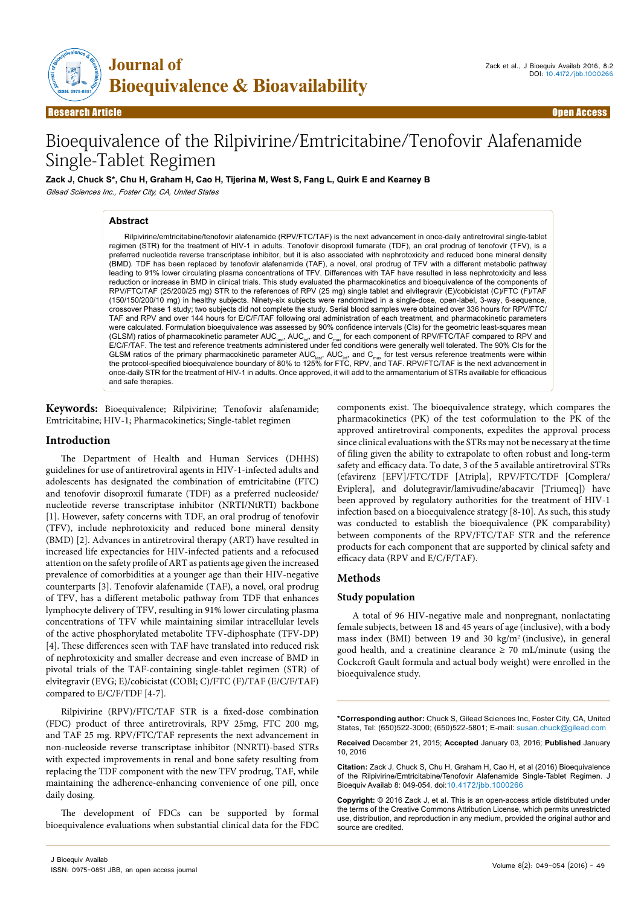

**Research Article** 

# Bioequivalence of the Rilpivirine/Emtricitabine/Tenofovir Alafenamide Single-Tablet Regimen

**Zack J, Chuck S\*, Chu H, Graham H, Cao H, Tijerina M, West S, Fang L, Quirk E and Kearney B** *Gilead Sciences Inc., Foster City, CA, United States*

#### **Abstract**

Rilpivirine/emtricitabine/tenofovir alafenamide (RPV/FTC/TAF) is the next advancement in once-daily antiretroviral single-tablet regimen (STR) for the treatment of HIV-1 in adults. Tenofovir disoproxil fumarate (TDF), an oral prodrug of tenofovir (TFV), is a preferred nucleotide reverse transcriptase inhibitor, but it is also associated with nephrotoxicity and reduced bone mineral density (BMD). TDF has been replaced by tenofovir alafenamide (TAF), a novel, oral prodrug of TFV with a different metabolic pathway leading to 91% lower circulating plasma concentrations of TFV. Differences with TAF have resulted in less nephrotoxicity and less reduction or increase in BMD in clinical trials. This study evaluated the pharmacokinetics and bioequivalence of the components of RPV/FTC/TAF (25/200/25 mg) STR to the references of RPV (25 mg) single tablet and elvitegravir (E)/cobicistat (C)/FTC (F)/TAF (150/150/200/10 mg) in healthy subjects. Ninety-six subjects were randomized in a single-dose, open-label, 3-way, 6-sequence, crossover Phase 1 study; two subjects did not complete the study. Serial blood samples were obtained over 336 hours for RPV/FTC/ TAF and RPV and over 144 hours for E/C/F/TAF following oral administration of each treatment, and pharmacokinetic parameters were calculated. Formulation bioequivalence was assessed by 90% confidence intervals (CIs) for the geometric least-squares mean (GLSM) ratios of pharmacokinetic parameter AUC<sub>las</sub>, AUC<sub>lar</sub>, and C<sub>max</sub> for each component of RPV/FTC/TAF compared to RPV and<br>E/C/F/TAF. The test and reference treatments administered under fed conditions were generally GLSM ratios of the primary pharmacokinetic parameter AUC<sub>last</sub>, AUC<sub>lin</sub>, and C<sub>max</sub> for test versus reference treatments were within<br>the protocol-specified bioequivalence boundary of 80% to 125% for FTC, RPV, and TAF. RPV once-daily STR for the treatment of HIV-1 in adults. Once approved, it will add to the armamentarium of STRs available for efficacious and safe therapies.

**Keywords:** Bioequivalence; Rilpivirine; Tenofovir alafenamide; Emtricitabine; HIV-1; Pharmacokinetics; Single-tablet regimen

#### **Introduction**

The Department of Health and Human Services (DHHS) guidelines for use of antiretroviral agents in HIV-1-infected adults and adolescents has designated the combination of emtricitabine (FTC) and tenofovir disoproxil fumarate (TDF) as a preferred nucleoside/ nucleotide reverse transcriptase inhibitor (NRTI/NtRTI) backbone [1]. However, safety concerns with TDF, an oral prodrug of tenofovir (TFV), include nephrotoxicity and reduced bone mineral density (BMD) [2]. Advances in antiretroviral therapy (ART) have resulted in increased life expectancies for HIV-infected patients and a refocused attention on the safety profile of ART as patients age given the increased prevalence of comorbidities at a younger age than their HIV-negative counterparts [3]. Tenofovir alafenamide (TAF), a novel, oral prodrug of TFV, has a different metabolic pathway from TDF that enhances lymphocyte delivery of TFV, resulting in 91% lower circulating plasma concentrations of TFV while maintaining similar intracellular levels of the active phosphorylated metabolite TFV-diphosphate (TFV-DP) [4]. These differences seen with TAF have translated into reduced risk of nephrotoxicity and smaller decrease and even increase of BMD in pivotal trials of the TAF-containing single-tablet regimen (STR) of elvitegravir (EVG; E)/cobicistat (COBI; C)/FTC (F)/TAF (E/C/F/TAF) compared to E/C/F/TDF [4-7].

Rilpivirine (RPV)/FTC/TAF STR is a fixed-dose combination (FDC) product of three antiretrovirals, RPV 25mg, FTC 200 mg, and TAF 25 mg. RPV/FTC/TAF represents the next advancement in non-nucleoside reverse transcriptase inhibitor (NNRTI)-based STRs with expected improvements in renal and bone safety resulting from replacing the TDF component with the new TFV prodrug, TAF, while maintaining the adherence-enhancing convenience of one pill, once daily dosing.

The development of FDCs can be supported by formal bioequivalence evaluations when substantial clinical data for the FDC

components exist. The bioequivalence strategy, which compares the pharmacokinetics (PK) of the test coformulation to the PK of the approved antiretroviral components, expedites the approval process since clinical evaluations with the STRs may not be necessary at the time of filing given the ability to extrapolate to often robust and long-term safety and efficacy data. To date, 3 of the 5 available antiretroviral STRs (efavirenz [EFV]/FTC/TDF [Atripla], RPV/FTC/TDF [Complera/ Eviplera], and dolutegravir/lamivudine/abacavir [Triumeq]) have been approved by regulatory authorities for the treatment of HIV-1 infection based on a bioequivalence strategy [8-10]. As such, this study was conducted to establish the bioequivalence (PK comparability) between components of the RPV/FTC/TAF STR and the reference products for each component that are supported by clinical safety and efficacy data (RPV and E/C/F/TAF).

## **Methods**

#### **Study population**

A total of 96 HIV-negative male and nonpregnant, nonlactating female subjects, between 18 and 45 years of age (inclusive), with a body mass index (BMI) between 19 and 30 kg/m<sup>2</sup> (inclusive), in general good health, and a creatinine clearance  $\geq$  70 mL/minute (using the Cockcroft Gault formula and actual body weight) were enrolled in the bioequivalence study.

**\*Corresponding author:** Chuck S, Gilead Sciences Inc, Foster City, CA, United States, Tel: (650)522-3000; (650)522-5801; E-mail: susan.chuck@gilead.com

**Received** December 21, 2015; **Accepted** January 03, 2016; **Published** January 10, 2016

**Citation:** Zack J, Chuck S, Chu H, Graham H, Cao H, et al (2016) Bioequivalence of the Rilpivirine/Emtricitabine/Tenofovir Alafenamide Single-Tablet Regimen. J Bioequiv Availab 8: 049-054. doi:10.4172/jbb.1000266

**Copyright:** © 2016 Zack J, et al. This is an open-access article distributed under the terms of the Creative Commons Attribution License, which permits unrestricted use, distribution, and reproduction in any medium, provided the original author and source are credited.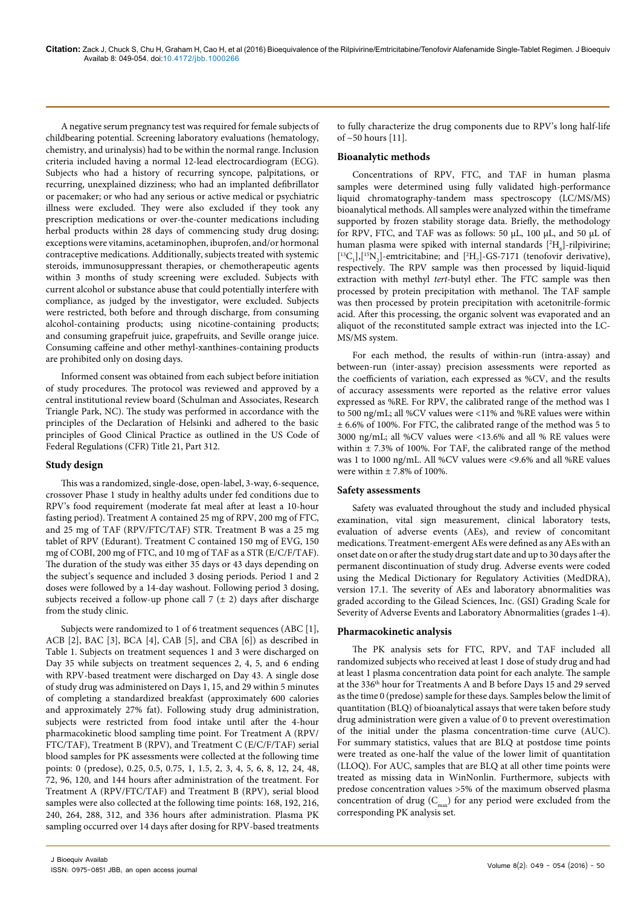A negative serum pregnancy test was required for female subjects of childbearing potential. Screening laboratory evaluations (hematology, chemistry, and urinalysis) had to be within the normal range. Inclusion criteria included having a normal 12-lead electrocardiogram (ECG). Subjects who had a history of recurring syncope, palpitations, or recurring, unexplained dizziness; who had an implanted defibrillator or pacemaker; or who had any serious or active medical or psychiatric illness were excluded. They were also excluded if they took any prescription medications or over-the-counter medications including herbal products within 28 days of commencing study drug dosing; exceptions were vitamins, acetaminophen, ibuprofen, and/or hormonal contraceptive medications. Additionally, subjects treated with systemic steroids, immunosuppressant therapies, or chemotherapeutic agents within 3 months of study screening were excluded. Subjects with current alcohol or substance abuse that could potentially interfere with compliance, as judged by the investigator, were excluded. Subjects were restricted, both before and through discharge, from consuming alcohol-containing products; using nicotine-containing products; and consuming grapefruit juice, grapefruits, and Seville orange juice. Consuming caffeine and other methyl-xanthines-containing products are prohibited only on dosing days.

Informed consent was obtained from each subject before initiation of study procedures. The protocol was reviewed and approved by a central institutional review board (Schulman and Associates, Research Triangle Park, NC). The study was performed in accordance with the principles of the Declaration of Helsinki and adhered to the basic principles of Good Clinical Practice as outlined in the US Code of Federal Regulations (CFR) Title 21, Part 312.

## **Study design**

This was a randomized, single-dose, open-label, 3-way, 6-sequence, crossover Phase 1 study in healthy adults under fed conditions due to RPV's food requirement (moderate fat meal after at least a 10-hour fasting period). Treatment A contained 25 mg of RPV, 200 mg of FTC, and 25 mg of TAF (RPV/FTC/TAF) STR. Treatment B was a 25 mg tablet of RPV (Edurant). Treatment C contained 150 mg of EVG, 150 mg of COBI, 200 mg of FTC, and 10 mg of TAF as a STR (E/C/F/TAF). The duration of the study was either 35 days or 43 days depending on the subject's sequence and included 3 dosing periods. Period 1 and 2 doses were followed by a 14-day washout. Following period 3 dosing, subjects received a follow-up phone call  $7 (\pm 2)$  days after discharge from the study clinic.

Subjects were randomized to 1 of 6 treatment sequences (ABC [1], ACB [2], BAC [3], BCA [4], CAB [5], and CBA [6]) as described in Table 1. Subjects on treatment sequences 1 and 3 were discharged on Day 35 while subjects on treatment sequences 2, 4, 5, and 6 ending with RPV-based treatment were discharged on Day 43. A single dose of study drug was administered on Days 1, 15, and 29 within 5 minutes of completing a standardized breakfast (approximately 600 calories and approximately 27% fat). Following study drug administration, subjects were restricted from food intake until after the 4-hour pharmacokinetic blood sampling time point. For Treatment A (RPV/ FTC/TAF), Treatment B (RPV), and Treatment C (E/C/F/TAF) serial blood samples for PK assessments were collected at the following time points: 0 (predose), 0.25, 0.5, 0.75, 1, 1.5, 2, 3, 4, 5, 6, 8, 12, 24, 48, 72, 96, 120, and 144 hours after administration of the treatment. For Treatment A (RPV/FTC/TAF) and Treatment B (RPV), serial blood samples were also collected at the following time points: 168, 192, 216, 240, 264, 288, 312, and 336 hours after administration. Plasma PK sampling occurred over 14 days after dosing for RPV-based treatments

to fully characterize the drug components due to RPV's long half-life of ~50 hours [11].

## **Bioanalytic methods**

Concentrations of RPV, FTC, and TAF in human plasma samples were determined using fully validated high-performance liquid chromatography-tandem mass spectroscopy (LC/MS/MS) bioanalytical methods. All samples were analyzed within the timeframe supported by frozen stability storage data. Briefly, the methodology for RPV, FTC, and TAF was as follows: 50 µL, 100 µL, and 50 µL of human plasma were spiked with internal standards  $[{}^{2}H_{6}]$ -rilpivirine;  $[^{13}C_1]$ , $[^{15}N_2]$ -emtricitabine; and  $[^{2}H_{7}]$ -GS-7171 (tenofovir derivative), respectively. The RPV sample was then processed by liquid-liquid extraction with methyl *tert*-butyl ether. The FTC sample was then processed by protein precipitation with methanol. The TAF sample was then processed by protein precipitation with acetonitrile-formic acid. After this processing, the organic solvent was evaporated and an aliquot of the reconstituted sample extract was injected into the LC-MS/MS system.

For each method, the results of within-run (intra-assay) and between-run (inter-assay) precision assessments were reported as the coefficients of variation, each expressed as %CV, and the results of accuracy assessments were reported as the relative error values expressed as %RE. For RPV, the calibrated range of the method was 1 to 500 ng/mL; all %CV values were <11% and %RE values were within ± 6.6% of 100%. For FTC, the calibrated range of the method was 5 to 3000 ng/mL; all %CV values were <13.6% and all % RE values were within  $\pm$  7.3% of 100%. For TAF, the calibrated range of the method was 1 to 1000 ng/mL. All %CV values were <9.6% and all %RE values were within  $\pm 7.8\%$  of 100%.

## **Safety assessments**

Safety was evaluated throughout the study and included physical examination, vital sign measurement, clinical laboratory tests, evaluation of adverse events (AEs), and review of concomitant medications. Treatment-emergent AEs were defined as any AEs with an onset date on or after the study drug start date and up to 30 days after the permanent discontinuation of study drug. Adverse events were coded using the Medical Dictionary for Regulatory Activities (MedDRA), version 17.1. The severity of AEs and laboratory abnormalities was graded according to the Gilead Sciences, Inc. (GSI) Grading Scale for Severity of Adverse Events and Laboratory Abnormalities (grades 1-4).

## **Pharmacokinetic analysis**

The PK analysis sets for FTC, RPV, and TAF included all randomized subjects who received at least 1 dose of study drug and had at least 1 plasma concentration data point for each analyte. The sample at the 336<sup>th</sup> hour for Treatments A and B before Days 15 and 29 served as the time 0 (predose) sample for these days. Samples below the limit of quantitation (BLQ) of bioanalytical assays that were taken before study drug administration were given a value of 0 to prevent overestimation of the initial under the plasma concentration-time curve (AUC). For summary statistics, values that are BLQ at postdose time points were treated as one-half the value of the lower limit of quantitation (LLOQ). For AUC, samples that are BLQ at all other time points were treated as missing data in WinNonlin. Furthermore, subjects with predose concentration values >5% of the maximum observed plasma concentration of drug  $(C_{\text{max}})$  for any period were excluded from the corresponding PK analysis set.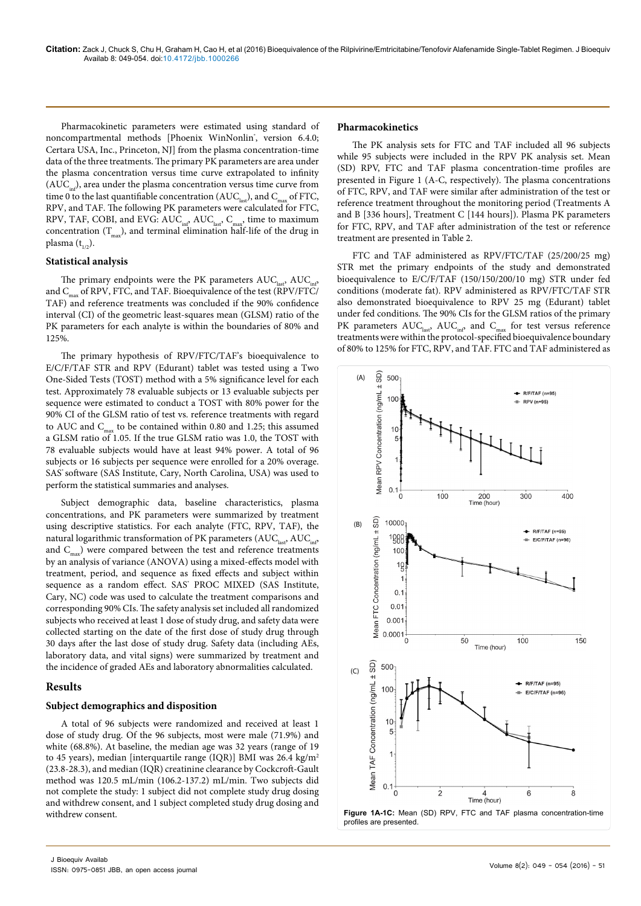Pharmacokinetic parameters were estimated using standard of noncompartmental methods [Phoenix WinNonlin<sup>\*</sup>, version 6.4.0; Certara USA, Inc., Princeton, NJ] from the plasma concentration-time data of the three treatments. The primary PK parameters are area under the plasma concentration versus time curve extrapolated to infinity  $(AUC_{i,n})$ , area under the plasma concentration versus time curve from time 0 to the last quantifiable concentration ( $AUC<sub>last</sub>$ ), and  $C<sub>max</sub>$  of FTC, RPV, and TAF. The following PK parameters were calculated for FTC, RPV, TAF, COBI, and EVG:  $AUC_{ind}$ ,  $AUC_{last}$ ,  $C_{max}$ , time to maximum concentration  $(T_{\text{max}})$ , and terminal elimination half-life of the drug in plasma  $(t_{1/2})$ .

#### **Statistical analysis**

The primary endpoints were the PK parameters  $AUC_{\text{last}}$ ,  $AUC_{\text{test}}$ and  $C_{\text{max}}$  of RPV, FTC, and TAF. Bioequivalence of the test ( $\overline{RPV/FTC/}$ TAF) and reference treatments was concluded if the 90% confidence interval (CI) of the geometric least-squares mean (GLSM) ratio of the PK parameters for each analyte is within the boundaries of 80% and 125%.

The primary hypothesis of RPV/FTC/TAF's bioequivalence to E/C/F/TAF STR and RPV (Edurant) tablet was tested using a Two One-Sided Tests (TOST) method with a 5% significance level for each test. Approximately 78 evaluable subjects or 13 evaluable subjects per sequence were estimated to conduct a TOST with 80% power for the 90% CI of the GLSM ratio of test vs. reference treatments with regard to AUC and  $C_{\text{max}}$  to be contained within 0.80 and 1.25; this assumed a GLSM ratio of 1.05. If the true GLSM ratio was 1.0, the TOST with 78 evaluable subjects would have at least 94% power. A total of 96 subjects or 16 subjects per sequence were enrolled for a 20% overage. SAS' software (SAS Institute, Cary, North Carolina, USA) was used to perform the statistical summaries and analyses.

Subject demographic data, baseline characteristics, plasma concentrations, and PK parameters were summarized by treatment using descriptive statistics. For each analyte (FTC, RPV, TAF), the natural logarithmic transformation of PK parameters  $(AUC_{\text{last}}, AUC_{\text{inf}})$ and  $C_{\text{max}}$ ) were compared between the test and reference treatments by an analysis of variance (ANOVA) using a mixed-effects model with treatment, period, and sequence as fixed effects and subject within sequence as a random effect. SAS<sup>\*</sup> PROC MIXED (SAS Institute, Cary, NC) code was used to calculate the treatment comparisons and corresponding 90% CIs. The safety analysis set included all randomized subjects who received at least 1 dose of study drug, and safety data were collected starting on the date of the first dose of study drug through 30 days after the last dose of study drug. Safety data (including AEs, laboratory data, and vital signs) were summarized by treatment and the incidence of graded AEs and laboratory abnormalities calculated.

## **Results**

## **Subject demographics and disposition**

A total of 96 subjects were randomized and received at least 1 dose of study drug. Of the 96 subjects, most were male (71.9%) and white (68.8%). At baseline, the median age was 32 years (range of 19 to 45 years), median [interquartile range (IQR)] BMI was 26.4 kg/m2 (23.8-28.3), and median (IQR) creatinine clearance by Cockcroft-Gault method was 120.5 mL/min (106.2-137.2) mL/min. Two subjects did not complete the study: 1 subject did not complete study drug dosing and withdrew consent, and 1 subject completed study drug dosing and withdrew consent.

## **Pharmacokinetics**

The PK analysis sets for FTC and TAF included all 96 subjects while 95 subjects were included in the RPV PK analysis set. Mean (SD) RPV, FTC and TAF plasma concentration-time profiles are presented in Figure 1 (A-C, respectively). The plasma concentrations of FTC, RPV, and TAF were similar after administration of the test or reference treatment throughout the monitoring period (Treatments A and B [336 hours], Treatment C [144 hours]). Plasma PK parameters for FTC, RPV, and TAF after administration of the test or reference treatment are presented in Table 2.

FTC and TAF administered as RPV/FTC/TAF (25/200/25 mg) STR met the primary endpoints of the study and demonstrated bioequivalence to E/C/F/TAF (150/150/200/10 mg) STR under fed conditions (moderate fat). RPV administered as RPV/FTC/TAF STR also demonstrated bioequivalence to RPV 25 mg (Edurant) tablet under fed conditions. The 90% CIs for the GLSM ratios of the primary PK parameters  $AUC_{last}$ ,  $AUC_{inf}$ , and  $C_{max}$  for test versus reference treatments were within the protocol-specified bioequivalence boundary of 80% to 125% for FTC, RPV, and TAF. FTC and TAF administered as

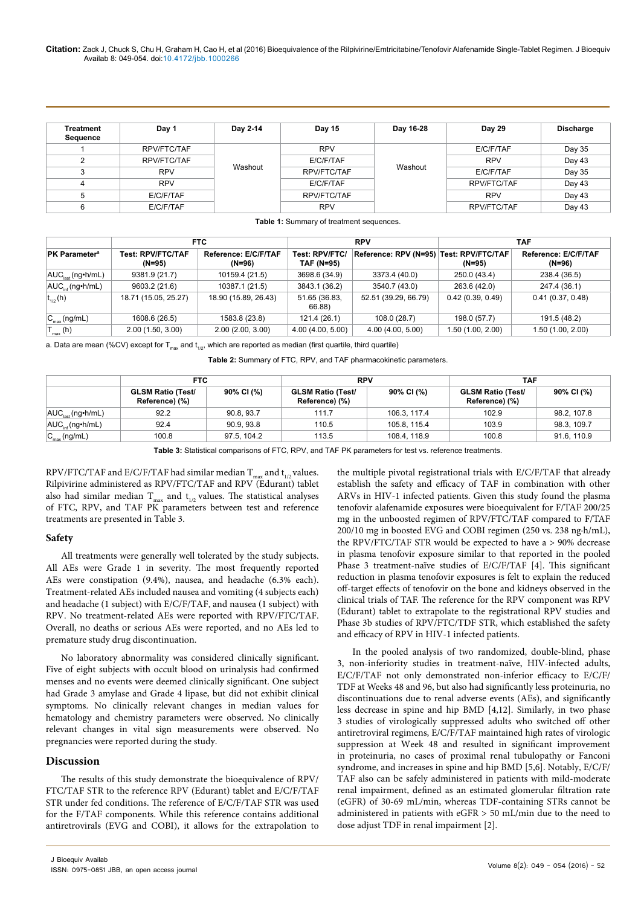#### **Citation:** Zack J, Chuck S, Chu H, Graham H, Cao H, et al (2016) Bioequivalence of the Rilpivirine/Emtricitabine/Tenofovir Alafenamide Single-Tablet Regimen. J Bioequiv Availab 8: 049-054. doi:10.4172/jbb.1000266

| Treatment<br>Sequence | Day 1       | Day 2-14 | Day 15      | Day 16-28 | <b>Day 29</b> | <b>Discharge</b> |
|-----------------------|-------------|----------|-------------|-----------|---------------|------------------|
|                       | RPV/FTC/TAF | Washout  | <b>RPV</b>  | Washout   | E/C/F/TAF     | Day 35           |
| 2                     | RPV/FTC/TAF |          | E/C/F/TAF   |           | <b>RPV</b>    | Day 43           |
|                       | <b>RPV</b>  |          | RPV/FTC/TAF |           | E/C/F/TAF     | Day 35           |
|                       | <b>RPV</b>  |          | E/C/F/TAF   |           | RPV/FTC/TAF   | Day 43           |
| 5                     | E/C/F/TAF   |          | RPV/FTC/TAF |           | <b>RPV</b>    | Day 43           |
| 6                     | E/C/F/TAF   |          | <b>RPV</b>  |           | RPV/FTC/TAF   | Day 43           |

| Table 1: Summary of treatment sequences. |  |
|------------------------------------------|--|
|------------------------------------------|--|

|                                   | FTC.                               |                                |                              | <b>RPV</b>                              |                   | TAF                            |  |
|-----------------------------------|------------------------------------|--------------------------------|------------------------------|-----------------------------------------|-------------------|--------------------------------|--|
| <b>PK Parameter<sup>a</sup></b>   | <b>Test: RPV/FTC/TAF</b><br>(N=95) | Reference: E/C/F/TAF<br>(N=96) | Test: RPV/FTC/<br>TAF (N=95) | Reference: RPV (N=95) Test: RPV/FTC/TAF | (N=95)            | Reference: E/C/F/TAF<br>(N=96) |  |
| $AUC_{\text{last}}(ng\cdot h/mL)$ | 9381.9 (21.7)                      | 10159.4 (21.5)                 | 3698.6 (34.9)                | 3373.4 (40.0)                           | 250.0 (43.4)      | 238.4 (36.5)                   |  |
| $ AUC_{i,f}$ (ng•h/mL)            | 9603.2 (21.6)                      | 10387.1 (21.5)                 | 3843.1 (36.2)                | 3540.7 (43.0)                           | 263.6 (42.0)      | 247.4 (36.1)                   |  |
| $ t_{1/2}(h) $                    | 18.71 (15.05, 25.27)               | 18.90 (15.89, 26.43)           | 51.65 (36.83,<br>66.88)      | 52.51 (39.29, 66.79)                    | 0.42(0.39, 0.49)  | 0.41(0.37, 0.48)               |  |
| $ C_{\text{max}}(ng/mL) $         | 1608.6 (26.5)                      | 1583.8 (23.8)                  | 121.4 (26.1)                 | 108.0 (28.7)                            | 198.0 (57.7)      | 191.5 (48.2)                   |  |
| $T_{\text{max}}$ (h)              | 2.00(1.50, 3.00)                   | 2.00(2.00, 3.00)               | 4.00 (4.00, 5.00)            | 4.00 (4.00, 5.00)                       | 1.50 (1.00, 2.00) | 1.50(1.00, 2.00)               |  |

a. Data are mean (%CV) except for  $T_{max}$  and  $t_{1/2}$ , which are reported as median (first quartile, third quartile)

**Table 2:** Summary of FTC, RPV, and TAF pharmacokinetic parameters.

|                           | <b>FTC</b>                                 |             | <b>RPV</b>                                 |              | <b>TAF</b>                                 |             |
|---------------------------|--------------------------------------------|-------------|--------------------------------------------|--------------|--------------------------------------------|-------------|
|                           | <b>GLSM Ratio (Test/</b><br>Reference) (%) | 90% CI (%)  | <b>GLSM Ratio (Test/</b><br>Reference) (%) | 90% CI (%)   | <b>GLSM Ratio (Test/</b><br>Reference) (%) | 90% CI (%)  |
| $AUClast$ (ng•h/mL)       | 92.2                                       | 90.8.93.7   | 111.7                                      | 106.3, 117.4 | 102.9                                      | 98.2, 107.8 |
| $AUC_{int}(ng\cdot h/mL)$ | 92.4                                       | 90.9.93.8   | 110.5                                      | 105.8, 115.4 | 103.9                                      | 98.3, 109.7 |
| $C_{\text{max}}$ (ng/mL)  | 100.8                                      | 97.5, 104.2 | 113.5                                      | 108.4.118.9  | 100.8                                      | 91.6, 110.9 |

**Table 3:** Statistical comparisons of FTC, RPV, and TAF PK parameters for test vs. reference treatments.

RPV/FTC/TAF and E/C/F/TAF had similar median  $T_{\text{max}}$  and  $t_{1/2}$  values. Rilpivirine administered as RPV/FTC/TAF and RPV (Edurant) tablet also had similar median  $T_{\text{max}}$  and  $t_{1/2}$  values. The statistical analyses of FTC, RPV, and TAF PK parameters between test and reference treatments are presented in Table 3.

## **Safety**

All treatments were generally well tolerated by the study subjects. All AEs were Grade 1 in severity. The most frequently reported AEs were constipation (9.4%), nausea, and headache (6.3% each). Treatment-related AEs included nausea and vomiting (4 subjects each) and headache (1 subject) with E/C/F/TAF, and nausea (1 subject) with RPV. No treatment-related AEs were reported with RPV/FTC/TAF. Overall, no deaths or serious AEs were reported, and no AEs led to premature study drug discontinuation.

No laboratory abnormality was considered clinically significant. Five of eight subjects with occult blood on urinalysis had confirmed menses and no events were deemed clinically significant. One subject had Grade 3 amylase and Grade 4 lipase, but did not exhibit clinical symptoms. No clinically relevant changes in median values for hematology and chemistry parameters were observed. No clinically relevant changes in vital sign measurements were observed. No pregnancies were reported during the study.

## **Discussion**

The results of this study demonstrate the bioequivalence of RPV/ FTC/TAF STR to the reference RPV (Edurant) tablet and E/C/F/TAF STR under fed conditions. The reference of E/C/F/TAF STR was used for the F/TAF components. While this reference contains additional antiretrovirals (EVG and COBI), it allows for the extrapolation to

the multiple pivotal registrational trials with E/C/F/TAF that already establish the safety and efficacy of TAF in combination with other ARVs in HIV-1 infected patients. Given this study found the plasma tenofovir alafenamide exposures were bioequivalent for F/TAF 200/25 mg in the unboosted regimen of RPV/FTC/TAF compared to F/TAF 200/10 mg in boosted EVG and COBI regimen (250 vs. 238 ng·h/mL), the RPV/FTC/TAF STR would be expected to have a > 90% decrease in plasma tenofovir exposure similar to that reported in the pooled Phase 3 treatment-naïve studies of E/C/F/TAF [4]. This significant reduction in plasma tenofovir exposures is felt to explain the reduced off-target effects of tenofovir on the bone and kidneys observed in the clinical trials of TAF. The reference for the RPV component was RPV (Edurant) tablet to extrapolate to the registrational RPV studies and Phase 3b studies of RPV/FTC/TDF STR, which established the safety and efficacy of RPV in HIV-1 infected patients.

In the pooled analysis of two randomized, double-blind, phase 3, non-inferiority studies in treatment-naïve, HIV-infected adults, E/C/F/TAF not only demonstrated non-inferior efficacy to E/C/F/ TDF at Weeks 48 and 96, but also had significantly less proteinuria, no discontinuations due to renal adverse events (AEs), and significantly less decrease in spine and hip BMD [4,12]. Similarly, in two phase 3 studies of virologically suppressed adults who switched off other antiretroviral regimens, E/C/F/TAF maintained high rates of virologic suppression at Week 48 and resulted in significant improvement in proteinuria, no cases of proximal renal tubulopathy or Fanconi syndrome, and increases in spine and hip BMD [5,6]. Notably, E/C/F/ TAF also can be safely administered in patients with mild-moderate renal impairment, defined as an estimated glomerular filtration rate (eGFR) of 30-69 mL/min, whereas TDF-containing STRs cannot be administered in patients with eGFR > 50 mL/min due to the need to dose adjust TDF in renal impairment [2].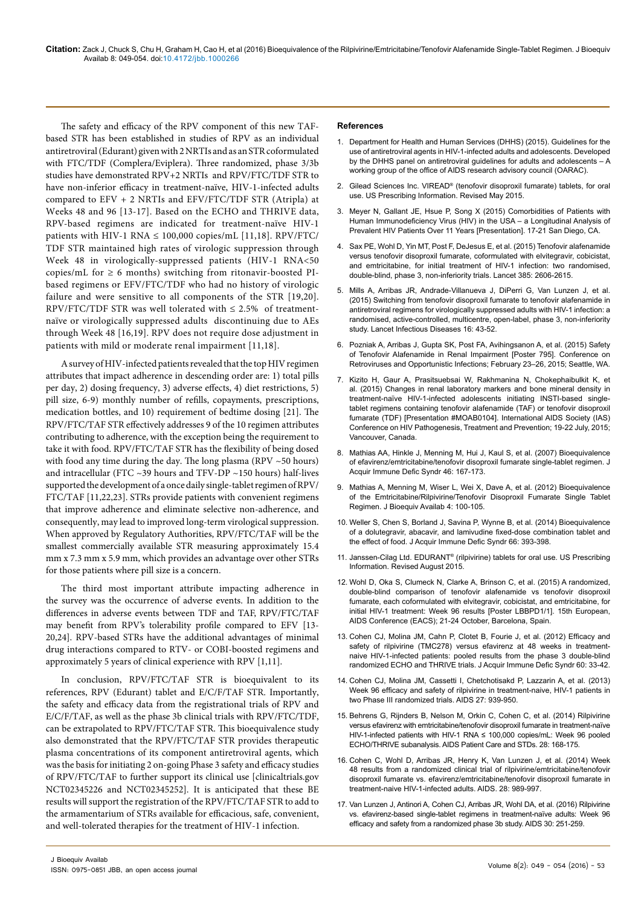**Citation:** Zack J, Chuck S, Chu H, Graham H, Cao H, et al (2016) Bioequivalence of the Rilpivirine/Emtricitabine/Tenofovir Alafenamide Single-Tablet Regimen. J Bioequiv Availab 8: 049-054. doi:10.4172/jbb.1000266

The safety and efficacy of the RPV component of this new TAFbased STR has been established in studies of RPV as an individual antiretroviral (Edurant) given with 2 NRTIs and as an STR coformulated with FTC/TDF (Complera/Eviplera). Three randomized, phase 3/3b studies have demonstrated RPV+2 NRTIs and RPV/FTC/TDF STR to have non-inferior efficacy in treatment-naïve, HIV-1-infected adults compared to  $EFV + 2$  NRTIs and  $EFV/FTC/TDF$  STR (Atripla) at Weeks 48 and 96 [13-17]. Based on the ECHO and THRIVE data, RPV-based regimens are indicated for treatment-naïve HIV-1 patients with HIV-1 RNA  $\leq$  100,000 copies/mL [11,18]. RPV/FTC/ TDF STR maintained high rates of virologic suppression through Week 48 in virologically-suppressed patients (HIV-1 RNA<50 copies/mL for  $\geq 6$  months) switching from ritonavir-boosted PIbased regimens or EFV/FTC/TDF who had no history of virologic failure and were sensitive to all components of the STR [19,20]. RPV/FTC/TDF STR was well tolerated with  $\leq 2.5\%$  of treatmentnaïve or virologically suppressed adults discontinuing due to AEs through Week 48 [16,19]. RPV does not require dose adjustment in patients with mild or moderate renal impairment [11,18].

A survey of HIV-infected patients revealed that the top HIV regimen attributes that impact adherence in descending order are: 1) total pills per day, 2) dosing frequency, 3) adverse effects, 4) diet restrictions, 5) pill size, 6-9) monthly number of refills, copayments, prescriptions, medication bottles, and 10) requirement of bedtime dosing [21]. The RPV/FTC/TAF STR effectively addresses 9 of the 10 regimen attributes contributing to adherence, with the exception being the requirement to take it with food. RPV/FTC/TAF STR has the flexibility of being dosed with food any time during the day. The long plasma (RPV ~50 hours) and intracellular (FTC  $\sim$ 39 hours and TFV-DP  $\sim$ 150 hours) half-lives supported the development of a once daily single-tablet regimen of RPV/ FTC/TAF [11,22,23]. STRs provide patients with convenient regimens that improve adherence and eliminate selective non-adherence, and consequently, may lead to improved long-term virological suppression. When approved by Regulatory Authorities, RPV/FTC/TAF will be the smallest commercially available STR measuring approximately 15.4 mm x 7.3 mm x 5.9 mm, which provides an advantage over other STRs for those patients where pill size is a concern.

The third most important attribute impacting adherence in the survey was the occurrence of adverse events. In addition to the differences in adverse events between TDF and TAF, RPV/FTC/TAF may benefit from RPV's tolerability profile compared to EFV [13- 20,24]. RPV-based STRs have the additional advantages of minimal drug interactions compared to RTV- or COBI-boosted regimens and approximately 5 years of clinical experience with RPV [1,11].

In conclusion, RPV/FTC/TAF STR is bioequivalent to its references, RPV (Edurant) tablet and E/C/F/TAF STR. Importantly, the safety and efficacy data from the registrational trials of RPV and E/C/F/TAF, as well as the phase 3b clinical trials with RPV/FTC/TDF, can be extrapolated to RPV/FTC/TAF STR. This bioequivalence study also demonstrated that the RPV/FTC/TAF STR provides therapeutic plasma concentrations of its component antiretroviral agents, which was the basis for initiating 2 on-going Phase 3 safety and efficacy studies of RPV/FTC/TAF to further support its clinical use [clinicaltrials.gov NCT02345226 and NCT02345252]. It is anticipated that these BE results will support the registration of the RPV/FTC/TAF STR to add to the armamentarium of STRs available for efficacious, safe, convenient, and well-tolerated therapies for the treatment of HIV-1 infection.

#### **References**

- 1. [Department for Health and Human Services \(DHHS\) \(2015\). Guidelines for the](https://aidsinfo.nih.gov/guidelines)  [use of antiretroviral agents in HIV-1-infected adults and adolescents. Developed](https://aidsinfo.nih.gov/guidelines)  [by the DHHS panel on antiretroviral guidelines for adults and adolescents – A](https://aidsinfo.nih.gov/guidelines)  [working group of the office of AIDS research advisory council \(OARAC\).](https://aidsinfo.nih.gov/guidelines)
- 2. [Gilead Sciences Inc. VIREAD® \(tenofovir disoproxil fumarate\) tablets, for oral](http://www.gilead.com/~/media/files/pdfs/medicines/liver-disease/viread/viread_pi.pdf)  [use. US Prescribing Information](http://www.gilead.com/~/media/files/pdfs/medicines/liver-disease/viread/viread_pi.pdf). Revised May 2015.
- 3. [Meyer N, Gallant JE, Hsue P, Song X \(2015\) Comorbidities of Patients with](http://www.natap.org/2015/ICAAC/ICAAC_20.htm)  [Human Immunodeficiency Virus \(HIV\) in the USA – a Longitudinal Analysis of](http://www.natap.org/2015/ICAAC/ICAAC_20.htm)  [Prevalent HIV Patients Over 11 Years \[Presentation\]. 17-21 San Diego, CA.](http://www.natap.org/2015/ICAAC/ICAAC_20.htm)
- 4. [Sax PE, Wohl D, Yin MT, Post F, DeJesus E, et al. \(2015\) Tenofovir alafenamide](http://www.ncbi.nlm.nih.gov/pubmed/25890673)  [versus tenofovir disoproxil fumarate, coformulated with elvitegravir, cobicistat,](http://www.ncbi.nlm.nih.gov/pubmed/25890673)  [and emtricitabine, for initial treatment of HIV-1 infection: two randomised,](http://www.ncbi.nlm.nih.gov/pubmed/25890673)  [double-blind, phase 3, non-inferiority trials. Lancet 385: 2606-2615.](http://www.ncbi.nlm.nih.gov/pubmed/25890673)
- 5. Mills A, Arribas JR, Andrade-Villanueva J, DiPerri G, Van Lunzen J, et al. (2015) Switching from tenofovir disoproxil fumarate to tenofovir alafenamide in antiretroviral regimens for virologically suppressed adults with HIV-1 infection: a randomised, active-controlled, multicentre, open-label, phase 3, non-inferiority study. Lancet Infectious Diseases 16: 43-52.
- 6. [Pozniak A, Arribas J, Gupta SK, Post FA, Avihingsanon A, et al. \(2015\) Safety](http://www.croiconference.org/sessions/safety-tenofovir-alafenamide-renal-impairment)  [of Tenofovir Alafenamide in Renal Impairment \[Poster 795\]. Conference on](http://www.croiconference.org/sessions/safety-tenofovir-alafenamide-renal-impairment)  [Retroviruses and Opportunistic Infections; February 23–26, 2015; Seattle, WA.](http://www.croiconference.org/sessions/safety-tenofovir-alafenamide-renal-impairment)
- 7. [Kizito H, Gaur A, Prasitsuebsai W, Rakhmanina N, Chokephaibulkit K, et](http://regist2.virology-education.com/2015/7hivped/33_Rakhmanina.pdf)  [al. \(2015\) Changes in renal laboratory markers and bone mineral density in](http://regist2.virology-education.com/2015/7hivped/33_Rakhmanina.pdf)  [treatment-naïve HIV-1-infected adolescents initiating INSTI-based single](http://regist2.virology-education.com/2015/7hivped/33_Rakhmanina.pdf)[tablet regimens containing tenofovir alafenamide \(TAF\) or tenofovir disoproxil](http://regist2.virology-education.com/2015/7hivped/33_Rakhmanina.pdf)  [fumarate \(TDF\) \[Presentation #MOAB0104\]. International AIDS Society \(IAS\)](http://regist2.virology-education.com/2015/7hivped/33_Rakhmanina.pdf)  [Conference on HIV Pathogenesis, Treatment and Prevention; 19-22 July, 2015;](http://regist2.virology-education.com/2015/7hivped/33_Rakhmanina.pdf)  [Vancouver, Canada.](http://regist2.virology-education.com/2015/7hivped/33_Rakhmanina.pdf)
- 8. [Mathias AA, Hinkle J, Menning M, Hui J, Kaul S, et al. \(2007\) Bioequivalence](http://www.ncbi.nlm.nih.gov/pubmed/17667331)  [of efavirenz/emtricitabine/tenofovir disoproxil fumarate single-tablet regimen. J](http://www.ncbi.nlm.nih.gov/pubmed/17667331)  [Acquir Immune Defic Syndr 46: 167-173.](http://www.ncbi.nlm.nih.gov/pubmed/17667331)
- 9. [Mathias A, Menning M, Wiser L, Wei X, Dave A, et al. \(2012\) Bioequivalence](http://www.omicsonline.org/bioequivalence-of-the-emtricitabine-rilpivirine-tenofovir-disoproxil-fumarate-single-tablet-regimen-jbb.1000121.php?aid=8969)  [of the Emtricitabine/Rilpivirine/Tenofovir Disoproxil Fumarate Single Tablet](http://www.omicsonline.org/bioequivalence-of-the-emtricitabine-rilpivirine-tenofovir-disoproxil-fumarate-single-tablet-regimen-jbb.1000121.php?aid=8969)  [Regimen. J Bioequiv Availab 4: 100-105.](http://www.omicsonline.org/bioequivalence-of-the-emtricitabine-rilpivirine-tenofovir-disoproxil-fumarate-single-tablet-regimen-jbb.1000121.php?aid=8969)
- 10. [Weller S, Chen S, Borland J, Savina P, Wynne B, et al. \(2014\) Bioequivalence](http://www.ncbi.nlm.nih.gov/pubmed/24798770)  [of a dolutegravir, abacavir, and lamivudine fixed-dose combination tablet and](http://www.ncbi.nlm.nih.gov/pubmed/24798770)  [the effect of food. J Acquir Immune Defic Syndr 66: 393-398.](http://www.ncbi.nlm.nih.gov/pubmed/24798770)
- 11. [Janssen-Cilag Ltd. EDURANT® \(rilpivirine\) tablets for oral use. US Prescribing](http://www.edurant.com/shared/product/Edurant/EDURANT-PI.pdf)  [Information. Revised August 2015.](http://www.edurant.com/shared/product/Edurant/EDURANT-PI.pdf)
- 12. [Wohl D, Oka S, Clumeck N, Clarke A, Brinson C, et al. \(2015\) A randomized,](http://www.natap.org/2015/EACS/EACS_28.htm)  [double-blind comparison of tenofovir alafenamide vs tenofovir disoproxil](http://www.natap.org/2015/EACS/EACS_28.htm)  [fumarate, each coformulated with elvitegravir, cobicistat, and emtricitabine, for](http://www.natap.org/2015/EACS/EACS_28.htm)  [initial HIV-1 treatment: Week 96 results \[Poster LBBPD1/1\]. 15th European,](http://www.natap.org/2015/EACS/EACS_28.htm)  [AIDS Conference \(EACS\); 21-24 October, Barcelona, Spain.](http://www.natap.org/2015/EACS/EACS_28.htm)
- 13. [Cohen CJ, Molina JM, Cahn P, Clotet B, Fourie J, et al. \(2012\) Efficacy and](http://www.ncbi.nlm.nih.gov/pubmed/22343174)  [safety of rilpivirine \(TMC278\) versus efavirenz at 48 weeks in treatment](http://www.ncbi.nlm.nih.gov/pubmed/22343174)[naive HIV-1-infected patients: pooled results from the phase 3 double-blind](http://www.ncbi.nlm.nih.gov/pubmed/22343174)  [randomized ECHO and THRIVE trials. J Acquir Immune Defic Syndr 60: 33-42.](http://www.ncbi.nlm.nih.gov/pubmed/22343174)
- 14. [Cohen CJ, Molina JM, Cassetti I, Chetchotisakd P, Lazzarin A, et al. \(2013\)](http://www.ncbi.nlm.nih.gov/pubmed/23211772)  [Week 96 efficacy and safety of rilpivirine in treatment-naive, HIV-1 patients in](http://www.ncbi.nlm.nih.gov/pubmed/23211772)  [two Phase III randomized trials. AIDS 27: 939-950.](http://www.ncbi.nlm.nih.gov/pubmed/23211772)
- 15. [Behrens G, Rijnders B, Nelson M, Orkin C, Cohen C, et al. \(2014\) Rilpivirine](http://www.ncbi.nlm.nih.gov/pubmed/24660840)  [versus efavirenz with emtricitabine/tenofovir disoproxil fumarate in treatment-naïve](http://www.ncbi.nlm.nih.gov/pubmed/24660840)  [HIV-1-infected patients with HIV-1 RNA ≤ 100,000 copies/mL: Week 96 pooled](http://www.ncbi.nlm.nih.gov/pubmed/24660840)  [ECHO/THRIVE subanalysis. AIDS Patient Care and STDs. 28: 168-175.](http://www.ncbi.nlm.nih.gov/pubmed/24660840)
- 16. [Cohen C, Wohl D, Arribas JR, Henry K, Van Lunzen J, et al. \(2014\) Week](http://www.ncbi.nlm.nih.gov/pubmed/24508782)  [48 results from a randomized clinical trial of rilpivirine/emtricitabine/tenofovir](http://www.ncbi.nlm.nih.gov/pubmed/24508782)  [disoproxil fumarate vs. efavirenz/emtricitabine/tenofovir disoproxil fumarate in](http://www.ncbi.nlm.nih.gov/pubmed/24508782)  [treatment-naive HIV-1-infected adults. AIDS. 28: 989-997.](http://www.ncbi.nlm.nih.gov/pubmed/24508782)
- 17. [Van Lunzen J, Antinori A, Cohen CJ, Arribas JR, Wohl DA, et al. \(2016\) Rilpivirine](http://www.ncbi.nlm.nih.gov/pubmed/26684822)  [vs. efavirenz-based single-tablet regimens in treatment-naïve adults: Week 96](http://www.ncbi.nlm.nih.gov/pubmed/26684822)  [efficacy and safety from a randomized phase 3b study. AIDS 30: 251-259.](http://www.ncbi.nlm.nih.gov/pubmed/26684822)